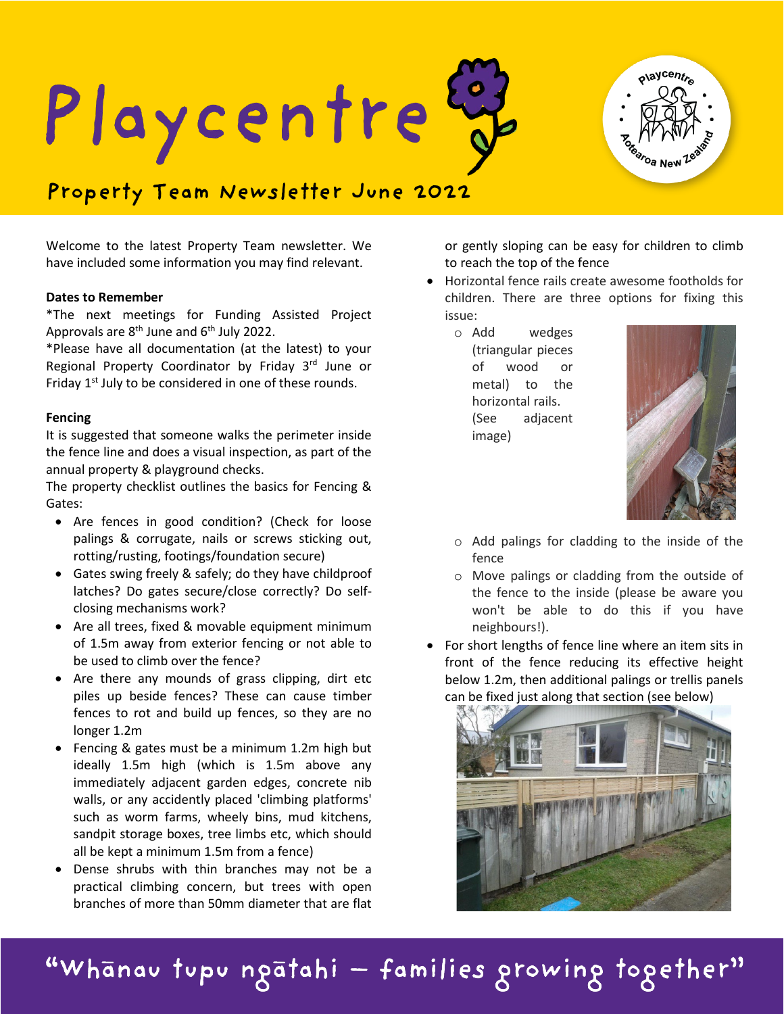



# **Property Team Newsletter June 2022**

Welcome to the latest Property Team newsletter. We have included some information you may find relevant.

## **Dates to Remember**

\*The next meetings for Funding Assisted Project Approvals are  $8<sup>th</sup>$  June and  $6<sup>th</sup>$  July 2022.

\*Please have all documentation (at the latest) to your Regional Property Coordinator by Friday 3rd June or Friday  $1<sup>st</sup>$  July to be considered in one of these rounds.

## **Fencing**

It is suggested that someone walks the perimeter inside the fence line and does a visual inspection, as part of the annual property & playground checks.

The property checklist outlines the basics for Fencing & Gates:

- Are fences in good condition? (Check for loose palings & corrugate, nails or screws sticking out, rotting/rusting, footings/foundation secure)
- Gates swing freely & safely; do they have childproof latches? Do gates secure/close correctly? Do selfclosing mechanisms work?
- Are all trees, fixed & movable equipment minimum of 1.5m away from exterior fencing or not able to be used to climb over the fence?
- Are there any mounds of grass clipping, dirt etc piles up beside fences? These can cause timber fences to rot and build up fences, so they are no longer 1.2m
- Fencing & gates must be a minimum 1.2m high but ideally 1.5m high (which is 1.5m above any immediately adjacent garden edges, concrete nib walls, or any accidently placed 'climbing platforms' such as worm farms, wheely bins, mud kitchens, sandpit storage boxes, tree limbs etc, which should all be kept a minimum 1.5m from a fence)
- Dense shrubs with thin branches may not be a practical climbing concern, but trees with open branches of more than 50mm diameter that are flat

or gently sloping can be easy for children to climb to reach the top of the fence

• Horizontal fence rails create awesome footholds for children. There are three options for fixing this issue:

o Add wedges (triangular pieces of wood or metal) to the horizontal rails. (See adjacent image)



- o Add palings for cladding to the inside of the fence
- o Move palings or cladding from the outside of the fence to the inside (please be aware you won't be able to do this if you have neighbours!).
- For short lengths of fence line where an item sits in front of the fence reducing its effective height below 1.2m, then additional palings or trellis panels can be fixed just along that section (see below)



"Whānau tupu ngātahi — families growing together"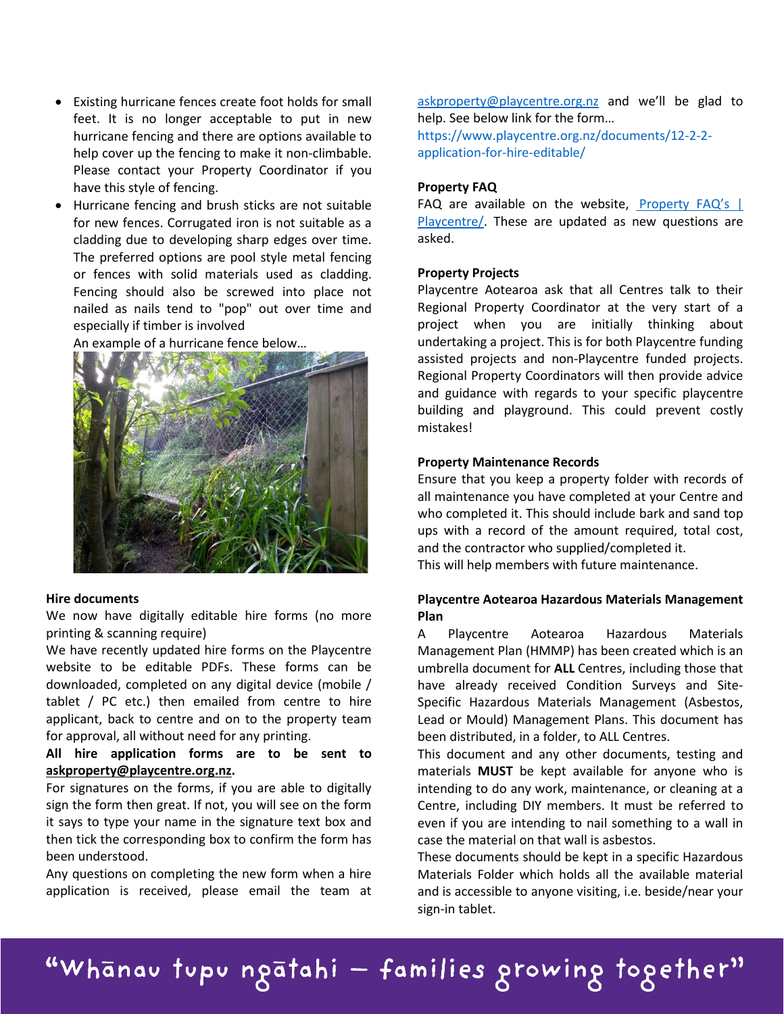- Existing hurricane fences create foot holds for small feet. It is no longer acceptable to put in new hurricane fencing and there are options available to help cover up the fencing to make it non-climbable. Please contact your Property Coordinator if you have this style of fencing.
- Hurricane fencing and brush sticks are not suitable for new fences. Corrugated iron is not suitable as a cladding due to developing sharp edges over time. The preferred options are pool style metal fencing or fences with solid materials used as cladding. Fencing should also be screwed into place not nailed as nails tend to "pop" out over time and especially if timber is involved

An example of a hurricane fence below…



# **Hire documents**

We now have digitally editable hire forms (no more printing & scanning require)

We have recently updated hire forms on the Playcentre website to be editable PDFs. These forms can be downloaded, completed on any digital device (mobile / tablet / PC etc.) then emailed from centre to hire applicant, back to centre and on to the property team for approval, all without need for any printing.

**All hire application forms are to be sent to [askproperty@playcentre.org.nz.](mailto:askproperty@playcentre.org.nz)**

For signatures on the forms, if you are able to digitally sign the form then great. If not, you will see on the form it says to type your name in the signature text box and then tick the corresponding box to confirm the form has been understood.

Any questions on completing the new form when a hire application is received, please email the team at

[askproperty@playcentre.org.nz](mailto:askproperty@playcentre.org.nz) and we'll be glad to help. See below link for the form… [https://www.playcentre.org.nz/documents/12-2-2](https://www.playcentre.org.nz/documents/12-2-2-application-for-hire-editable/) [application-for-hire-editable/](https://www.playcentre.org.nz/documents/12-2-2-application-for-hire-editable/)

#### **Property FAQ**

FAQ are available on the website, Property FAQ's | [Playcentre/.](https://www.playcentre.org.nz/property-faqs/) These are updated as new questions are asked.

#### **Property Projects**

Playcentre Aotearoa ask that all Centres talk to their Regional Property Coordinator at the very start of a project when you are initially thinking about undertaking a project. This is for both Playcentre funding assisted projects and non-Playcentre funded projects. Regional Property Coordinators will then provide advice and guidance with regards to your specific playcentre building and playground. This could prevent costly mistakes!

#### **Property Maintenance Records**

Ensure that you keep a property folder with records of all maintenance you have completed at your Centre and who completed it. This should include bark and sand top ups with a record of the amount required, total cost, and the contractor who supplied/completed it.

This will help members with future maintenance.

# **Playcentre Aotearoa Hazardous Materials Management Plan**

A Playcentre Aotearoa Hazardous Materials Management Plan (HMMP) has been created which is an umbrella document for **ALL** Centres, including those that have already received Condition Surveys and Site-Specific Hazardous Materials Management (Asbestos, Lead or Mould) Management Plans. This document has been distributed, in a folder, to ALL Centres.

This document and any other documents, testing and materials **MUST** be kept available for anyone who is intending to do any work, maintenance, or cleaning at a Centre, including DIY members. It must be referred to even if you are intending to nail something to a wall in case the material on that wall is asbestos.

These documents should be kept in a specific Hazardous Materials Folder which holds all the available material and is accessible to anyone visiting, i.e. beside/near your sign-in tablet.

"Whānau tupu ngātahi — families growing together"